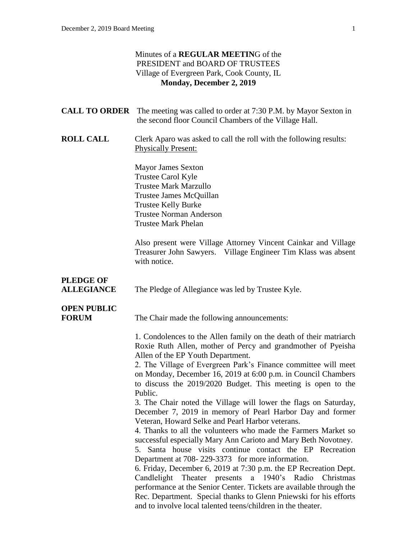#### Minutes of a **REGULAR MEETIN**G of the PRESIDENT and BOARD OF TRUSTEES Village of Evergreen Park, Cook County, IL **Monday, December 2, 2019**

|                                       | <b>CALL TO ORDER</b> The meeting was called to order at 7:30 P.M. by Mayor Sexton in<br>the second floor Council Chambers of the Village Hall.                                                                                                                                                                                                                                                                                                                                                                                                                                                                                                                                                                                                                                                                                                                                                                                                                                                                                                                                                                                                                                         |
|---------------------------------------|----------------------------------------------------------------------------------------------------------------------------------------------------------------------------------------------------------------------------------------------------------------------------------------------------------------------------------------------------------------------------------------------------------------------------------------------------------------------------------------------------------------------------------------------------------------------------------------------------------------------------------------------------------------------------------------------------------------------------------------------------------------------------------------------------------------------------------------------------------------------------------------------------------------------------------------------------------------------------------------------------------------------------------------------------------------------------------------------------------------------------------------------------------------------------------------|
| <b>ROLL CALL</b>                      | Clerk Aparo was asked to call the roll with the following results:<br><b>Physically Present:</b>                                                                                                                                                                                                                                                                                                                                                                                                                                                                                                                                                                                                                                                                                                                                                                                                                                                                                                                                                                                                                                                                                       |
|                                       | <b>Mayor James Sexton</b><br><b>Trustee Carol Kyle</b><br><b>Trustee Mark Marzullo</b><br>Trustee James McQuillan<br><b>Trustee Kelly Burke</b><br><b>Trustee Norman Anderson</b><br><b>Trustee Mark Phelan</b>                                                                                                                                                                                                                                                                                                                                                                                                                                                                                                                                                                                                                                                                                                                                                                                                                                                                                                                                                                        |
|                                       | Also present were Village Attorney Vincent Cainkar and Village<br>Treasurer John Sawyers. Village Engineer Tim Klass was absent<br>with notice.                                                                                                                                                                                                                                                                                                                                                                                                                                                                                                                                                                                                                                                                                                                                                                                                                                                                                                                                                                                                                                        |
| <b>PLEDGE OF</b><br><b>ALLEGIANCE</b> | The Pledge of Allegiance was led by Trustee Kyle.                                                                                                                                                                                                                                                                                                                                                                                                                                                                                                                                                                                                                                                                                                                                                                                                                                                                                                                                                                                                                                                                                                                                      |
| <b>OPEN PUBLIC</b><br><b>FORUM</b>    | The Chair made the following announcements:                                                                                                                                                                                                                                                                                                                                                                                                                                                                                                                                                                                                                                                                                                                                                                                                                                                                                                                                                                                                                                                                                                                                            |
|                                       | 1. Condolences to the Allen family on the death of their matriarch<br>Roxie Ruth Allen, mother of Percy and grandmother of Pyeisha<br>Allen of the EP Youth Department.<br>2. The Village of Evergreen Park's Finance committee will meet<br>on Monday, December 16, 2019 at 6:00 p.m. in Council Chambers<br>to discuss the 2019/2020 Budget. This meeting is open to the<br>Public.<br>3. The Chair noted the Village will lower the flags on Saturday,<br>December 7, 2019 in memory of Pearl Harbor Day and former<br>Veteran, Howard Selke and Pearl Harbor veterans.<br>4. Thanks to all the volunteers who made the Farmers Market so<br>successful especially Mary Ann Carioto and Mary Beth Novotney.<br>5. Santa house visits continue contact the EP Recreation<br>Department at 708-229-3373 for more information.<br>6. Friday, December 6, 2019 at 7:30 p.m. the EP Recreation Dept.<br>Candlelight<br>a $1940$ 's<br>Theater presents<br>Radio<br>Christmas<br>performance at the Senior Center. Tickets are available through the<br>Rec. Department. Special thanks to Glenn Pniewski for his efforts<br>and to involve local talented teens/children in the theater. |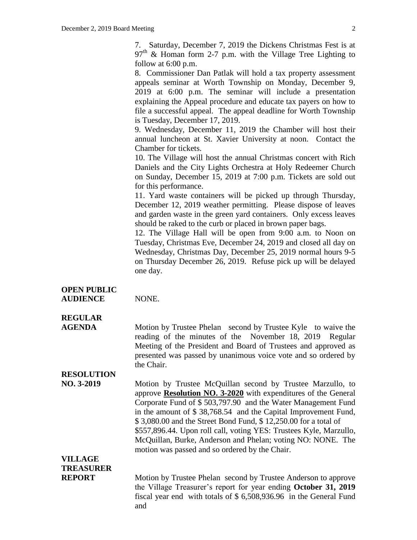7. Saturday, December 7, 2019 the Dickens Christmas Fest is at  $97<sup>th</sup>$  & Homan form 2-7 p.m. with the Village Tree Lighting to follow at 6:00 p.m.

8. Commissioner Dan Patlak will hold a tax property assessment appeals seminar at Worth Township on Monday, December 9, 2019 at 6:00 p.m. The seminar will include a presentation explaining the Appeal procedure and educate tax payers on how to file a successful appeal. The appeal deadline for Worth Township is Tuesday, December 17, 2019.

9. Wednesday, December 11, 2019 the Chamber will host their annual luncheon at St. Xavier University at noon. Contact the Chamber for tickets.

10. The Village will host the annual Christmas concert with Rich Daniels and the City Lights Orchestra at Holy Redeemer Church on Sunday, December 15, 2019 at 7:00 p.m. Tickets are sold out for this performance.

11. Yard waste containers will be picked up through Thursday, December 12, 2019 weather permitting. Please dispose of leaves and garden waste in the green yard containers. Only excess leaves should be raked to the curb or placed in brown paper bags.

12. The Village Hall will be open from 9:00 a.m. to Noon on Tuesday, Christmas Eve, December 24, 2019 and closed all day on Wednesday, Christmas Day, December 25, 2019 normal hours 9-5 on Thursday December 26, 2019. Refuse pick up will be delayed one day.

**OPEN PUBLIC AUDIENCE** NONE.

## **REGULAR**

**AGENDA** Motion by Trustee Phelan second by Trustee Kyle to waive the reading of the minutes of the November 18, 2019 Regular Meeting of the President and Board of Trustees and approved as presented was passed by unanimous voice vote and so ordered by the Chair.

### **RESOLUTION**

**NO. 3-2019** Motion by Trustee McQuillan second by Trustee Marzullo, to approve **Resolution NO. 3-2020** with expenditures of the General Corporate Fund of \$ 503,797.90 and the Water Management Fund in the amount of \$ 38,768.54 and the Capital Improvement Fund, \$ 3,080.00 and the Street Bond Fund, \$ 12,250.00 for a total of \$557,896.44. Upon roll call, voting YES: Trustees Kyle, Marzullo, McQuillan, Burke, Anderson and Phelan; voting NO: NONE. The motion was passed and so ordered by the Chair.

## **VILLAGE TREASURER**

**REPORT** Motion by Trustee Phelan second by Trustee Anderson to approve the Village Treasurer's report for year ending **October 31, 2019** fiscal year end with totals of \$ 6,508,936.96 in the General Fund and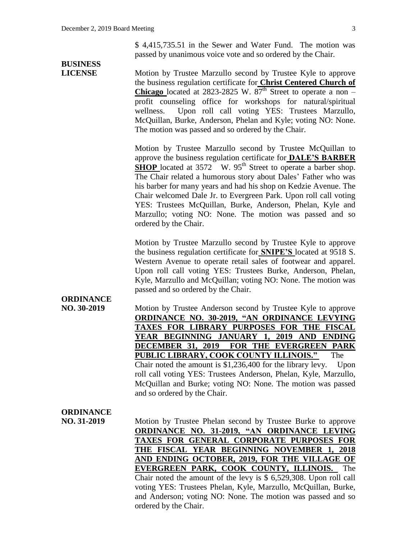\$ 4,415,735.51 in the Sewer and Water Fund. The motion was passed by unanimous voice vote and so ordered by the Chair.

# **BUSINESS**

**LICENSE** Motion by Trustee Marzullo second by Trustee Kyle to approve the business regulation certificate for **Christ Centered Church of Chicago** located at 2823-2825 W.  $87<sup>th</sup>$  Street to operate a non – profit counseling office for workshops for natural/spiritual wellness. Upon roll call voting YES: Trustees Marzullo, McQuillan, Burke, Anderson, Phelan and Kyle; voting NO: None. The motion was passed and so ordered by the Chair.

> Motion by Trustee Marzullo second by Trustee McQuillan to approve the business regulation certificate for **DALE'S BARBER SHOP** located at 3572 W. 95<sup>th</sup> Street to operate a barber shop. The Chair related a humorous story about Dales' Father who was his barber for many years and had his shop on Kedzie Avenue. The Chair welcomed Dale Jr. to Evergreen Park. Upon roll call voting YES: Trustees McQuillan, Burke, Anderson, Phelan, Kyle and Marzullo; voting NO: None. The motion was passed and so ordered by the Chair.

> Motion by Trustee Marzullo second by Trustee Kyle to approve the business regulation certificate for **SNIPE'S** located at 9518 S. Western Avenue to operate retail sales of footwear and apparel. Upon roll call voting YES: Trustees Burke, Anderson, Phelan, Kyle, Marzullo and McQuillan; voting NO: None. The motion was passed and so ordered by the Chair.

# **ORDINANCE**

**NO. 30-2019** Motion by Trustee Anderson second by Trustee Kyle to approve **ORDINANCE NO. 30-2019, "AN ORDINANCE LEVYING TAXES FOR LIBRARY PURPOSES FOR THE FISCAL YEAR BEGINNING JANUARY 1, 2019 AND ENDING DECEMBER 31, 2019 FOR THE EVERGREEN PARK PUBLIC LIBRARY, COOK COUNTY ILLINOIS."** The Chair noted the amount is \$1,236,400 for the library levy.Upon

roll call voting YES: Trustees Anderson, Phelan, Kyle, Marzullo, McQuillan and Burke; voting NO: None. The motion was passed and so ordered by the Chair.

#### **ORDINANCE**

**NO. 31-2019** Motion by Trustee Phelan second by Trustee Burke to approve **ORDINANCE NO. 31-2019, "AN ORDINANCE LEVING TAXES FOR GENERAL CORPORATE PURPOSES FOR THE FISCAL YEAR BEGINNING NOVEMBER 1, 2018 AND ENDING OCTOBER, 2019, FOR THE VILLAGE OF EVERGREEN PARK, COOK COUNTY, ILLINOIS.** The Chair noted the amount of the levy is \$ 6,529,308. Upon roll call voting YES: Trustees Phelan, Kyle, Marzullo, McQuillan, Burke, and Anderson; voting NO: None. The motion was passed and so ordered by the Chair.